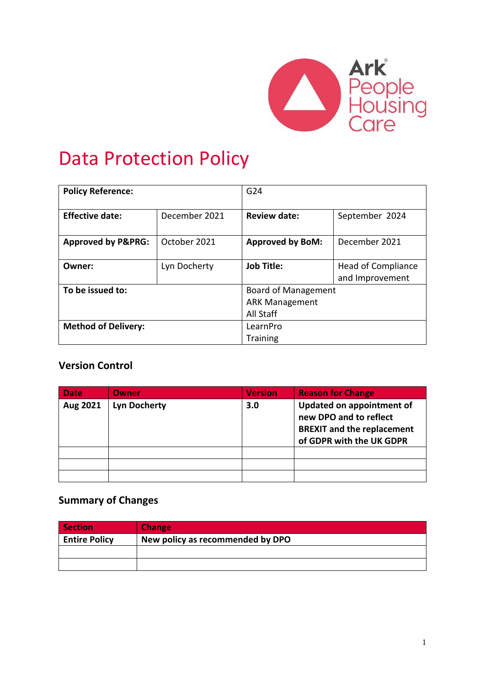

# Data Protection Policy

| <b>Policy Reference:</b>      |               | G <sub>24</sub>            |                                              |  |
|-------------------------------|---------------|----------------------------|----------------------------------------------|--|
| <b>Effective date:</b>        | December 2021 | <b>Review date:</b>        | September 2024                               |  |
| <b>Approved by P&amp;PRG:</b> | October 2021  | <b>Approved by BoM:</b>    | December 2021                                |  |
| Owner:                        | Lyn Docherty  | <b>Job Title:</b>          | <b>Head of Compliance</b><br>and Improvement |  |
| To be issued to:              |               | <b>Board of Management</b> |                                              |  |
|                               |               | <b>ARK Management</b>      |                                              |  |
|                               |               | All Staff                  |                                              |  |
| <b>Method of Delivery:</b>    |               | LearnPro                   |                                              |  |
|                               |               | <b>Training</b>            |                                              |  |

## **Version Control**

| <b>Date</b> | Owner               | <b>Version</b> | <b>Reason for Change</b>                                                                                             |
|-------------|---------------------|----------------|----------------------------------------------------------------------------------------------------------------------|
| Aug 2021    | <b>Lyn Docherty</b> | 3.0            | Updated on appointment of<br>new DPO and to reflect<br><b>BREXIT and the replacement</b><br>of GDPR with the UK GDPR |
|             |                     |                |                                                                                                                      |
|             |                     |                |                                                                                                                      |
|             |                     |                |                                                                                                                      |

## **Summary of Changes**

| <b>Section</b>       | <b>Change</b>                    |
|----------------------|----------------------------------|
| <b>Entire Policy</b> | New policy as recommended by DPO |
|                      |                                  |
|                      |                                  |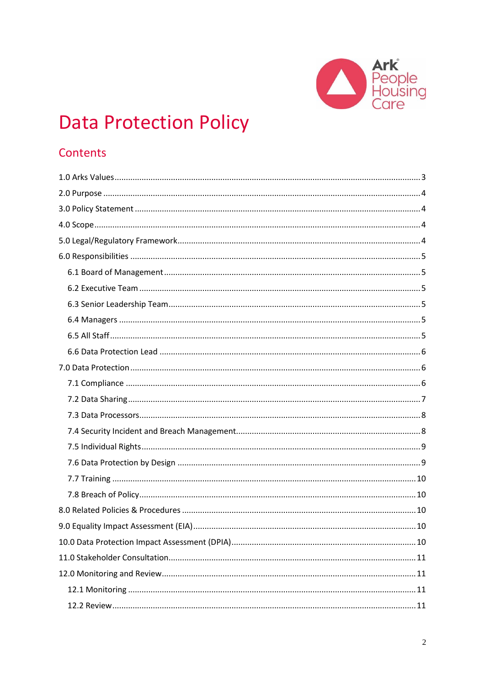

# **Data Protection Policy**

# Contents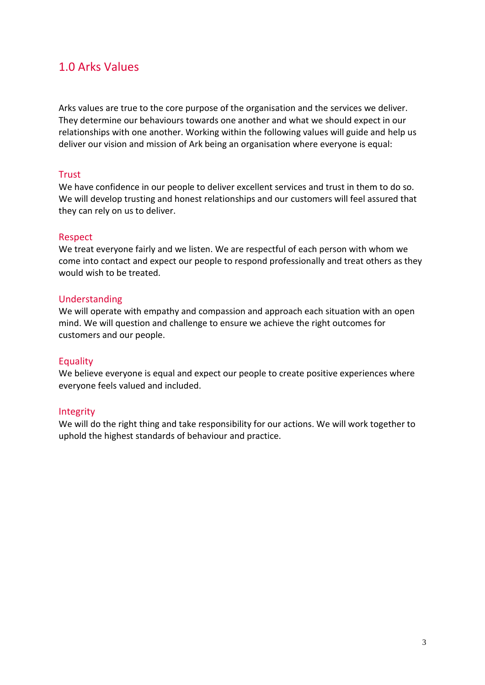## <span id="page-2-0"></span>1.0 Arks Values

Arks values are true to the core purpose of the organisation and the services we deliver. They determine our behaviours towards one another and what we should expect in our relationships with one another. Working within the following values will guide and help us deliver our vision and mission of Ark being an organisation where everyone is equal:

#### **Trust**

We have confidence in our people to deliver excellent services and trust in them to do so. We will develop trusting and honest relationships and our customers will feel assured that they can rely on us to deliver.

#### Respect

We treat everyone fairly and we listen. We are respectful of each person with whom we come into contact and expect our people to respond professionally and treat others as they would wish to be treated.

#### Understanding

We will operate with empathy and compassion and approach each situation with an open mind. We will question and challenge to ensure we achieve the right outcomes for customers and our people.

#### Equality

We believe everyone is equal and expect our people to create positive experiences where everyone feels valued and included.

#### Integrity

We will do the right thing and take responsibility for our actions. We will work together to uphold the highest standards of behaviour and practice.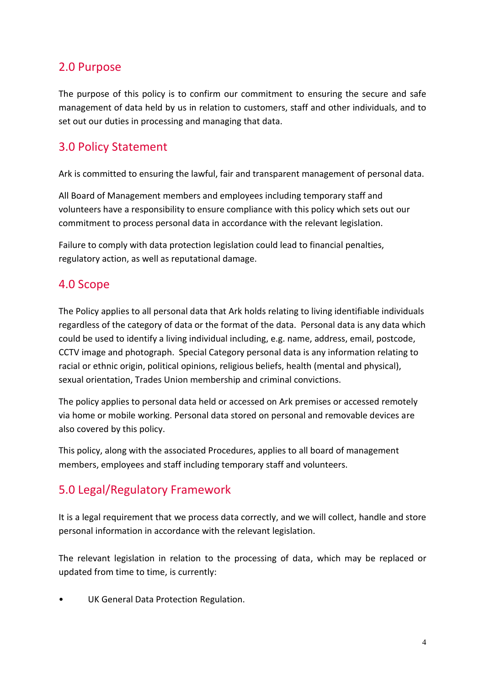# <span id="page-3-0"></span>2.0 Purpose

The purpose of this policy is to confirm our commitment to ensuring the secure and safe management of data held by us in relation to customers, staff and other individuals, and to set out our duties in processing and managing that data.

# <span id="page-3-1"></span>3.0 Policy Statement

Ark is committed to ensuring the lawful, fair and transparent management of personal data.

All Board of Management members and employees including temporary staff and volunteers have a responsibility to ensure compliance with this policy which sets out our commitment to process personal data in accordance with the relevant legislation.

Failure to comply with data protection legislation could lead to financial penalties, regulatory action, as well as reputational damage.

# <span id="page-3-2"></span>4.0 Scope

The Policy applies to all personal data that Ark holds relating to living identifiable individuals regardless of the category of data or the format of the data. Personal data is any data which could be used to identify a living individual including, e.g. name, address, email, postcode, CCTV image and photograph. Special Category personal data is any information relating to racial or ethnic origin, political opinions, religious beliefs, health (mental and physical), sexual orientation, Trades Union membership and criminal convictions.

The policy applies to personal data held or accessed on Ark premises or accessed remotely via home or mobile working. Personal data stored on personal and removable devices are also covered by this policy.

This policy, along with the associated Procedures, applies to all board of management members, employees and staff including temporary staff and volunteers.

# <span id="page-3-3"></span>5.0 Legal/Regulatory Framework

It is a legal requirement that we process data correctly, and we will collect, handle and store personal information in accordance with the relevant legislation.

The relevant legislation in relation to the processing of data, which may be replaced or updated from time to time, is currently:

UK General Data Protection Regulation.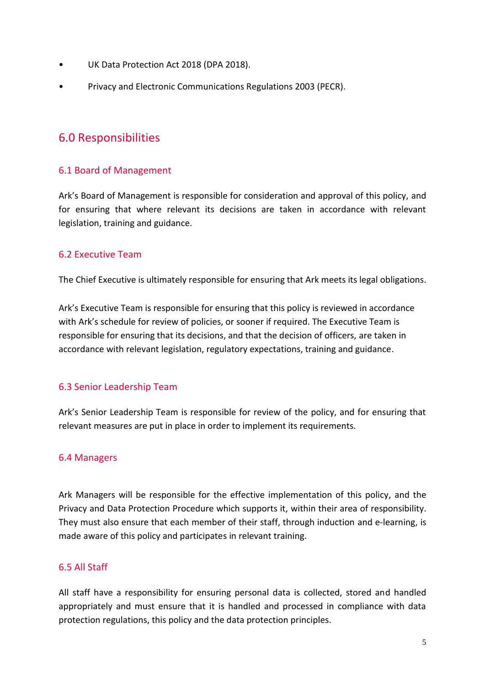- UK Data Protection Act 2018 (DPA 2018).
- <span id="page-4-0"></span>• Privacy and Electronic Communications Regulations 2003 (PECR).

## 6.0 Responsibilities

## <span id="page-4-1"></span>6.1 Board of Management

Ark's Board of Management is responsible for consideration and approval of this policy, and for ensuring that where relevant its decisions are taken in accordance with relevant legislation, training and guidance.

#### <span id="page-4-2"></span>6.2 Executive Team

The Chief Executive is ultimately responsible for ensuring that Ark meets its legal obligations.

Ark's Executive Team is responsible for ensuring that this policy is reviewed in accordance with Ark's schedule for review of policies, or sooner if required. The Executive Team is responsible for ensuring that its decisions, and that the decision of officers, are taken in accordance with relevant legislation, regulatory expectations, training and guidance.

#### <span id="page-4-3"></span>6.3 Senior Leadership Team

Ark's Senior Leadership Team is responsible for review of the policy, and for ensuring that relevant measures are put in place in order to implement its requirements.

#### <span id="page-4-4"></span>6.4 Managers

Ark Managers will be responsible for the effective implementation of this policy, and the Privacy and Data Protection Procedure which supports it, within their area of responsibility. They must also ensure that each member of their staff, through induction and e-learning, is made aware of this policy and participates in relevant training.

#### <span id="page-4-5"></span>6.5 All Staff

All staff have a responsibility for ensuring personal data is collected, stored and handled appropriately and must ensure that it is handled and processed in compliance with data protection regulations, this policy and the data protection principles.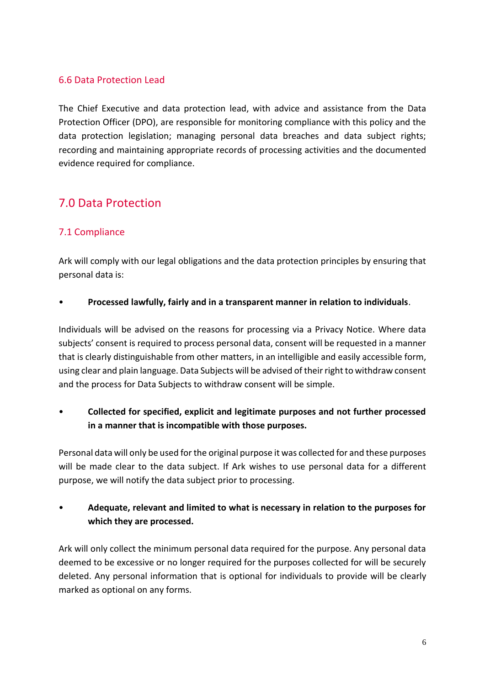## <span id="page-5-0"></span>6.6 Data Protection Lead

The Chief Executive and data protection lead, with advice and assistance from the Data Protection Officer (DPO), are responsible for monitoring compliance with this policy and the data protection legislation; managing personal data breaches and data subject rights; recording and maintaining appropriate records of processing activities and the documented evidence required for compliance.

# <span id="page-5-1"></span>7.0 Data Protection

## <span id="page-5-2"></span>7.1 Compliance

Ark will comply with our legal obligations and the data protection principles by ensuring that personal data is:

#### • **Processed lawfully, fairly and in a transparent manner in relation to individuals**.

Individuals will be advised on the reasons for processing via a Privacy Notice. Where data subjects' consent is required to process personal data, consent will be requested in a manner that is clearly distinguishable from other matters, in an intelligible and easily accessible form, using clear and plain language. Data Subjects will be advised of their right to withdraw consent and the process for Data Subjects to withdraw consent will be simple.

• **Collected for specified, explicit and legitimate purposes and not further processed in a manner that is incompatible with those purposes.**

Personal data will only be used for the original purpose it was collected for and these purposes will be made clear to the data subject. If Ark wishes to use personal data for a different purpose, we will notify the data subject prior to processing.

## • **Adequate, relevant and limited to what is necessary in relation to the purposes for which they are processed.**

Ark will only collect the minimum personal data required for the purpose. Any personal data deemed to be excessive or no longer required for the purposes collected for will be securely deleted. Any personal information that is optional for individuals to provide will be clearly marked as optional on any forms.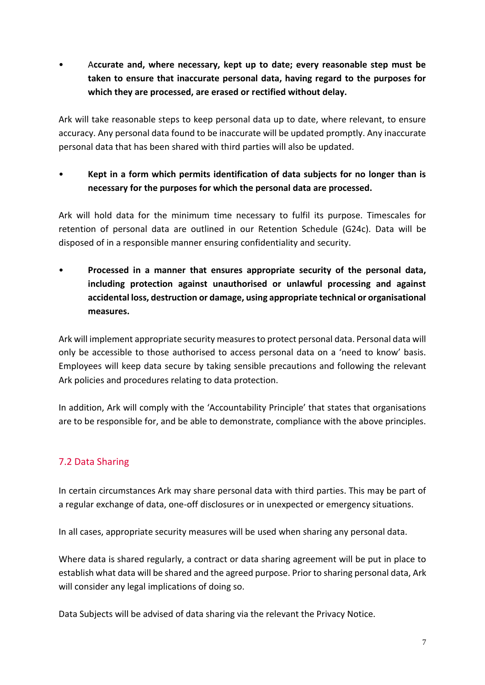• A**ccurate and, where necessary, kept up to date; every reasonable step must be taken to ensure that inaccurate personal data, having regard to the purposes for which they are processed, are erased or rectified without delay.**

Ark will take reasonable steps to keep personal data up to date, where relevant, to ensure accuracy. Any personal data found to be inaccurate will be updated promptly. Any inaccurate personal data that has been shared with third parties will also be updated.

• **Kept in a form which permits identification of data subjects for no longer than is necessary for the purposes for which the personal data are processed.**

Ark will hold data for the minimum time necessary to fulfil its purpose. Timescales for retention of personal data are outlined in our Retention Schedule (G24c). Data will be disposed of in a responsible manner ensuring confidentiality and security.

• **Processed in a manner that ensures appropriate security of the personal data, including protection against unauthorised or unlawful processing and against accidental loss, destruction or damage, using appropriate technical or organisational measures.** 

Ark will implement appropriate security measures to protect personal data. Personal data will only be accessible to those authorised to access personal data on a 'need to know' basis. Employees will keep data secure by taking sensible precautions and following the relevant Ark policies and procedures relating to data protection.

In addition, Ark will comply with the 'Accountability Principle' that states that organisations are to be responsible for, and be able to demonstrate, compliance with the above principles.

## <span id="page-6-0"></span>7.2 Data Sharing

In certain circumstances Ark may share personal data with third parties. This may be part of a regular exchange of data, one-off disclosures or in unexpected or emergency situations.

In all cases, appropriate security measures will be used when sharing any personal data.

Where data is shared regularly, a contract or data sharing agreement will be put in place to establish what data will be shared and the agreed purpose. Prior to sharing personal data, Ark will consider any legal implications of doing so.

Data Subjects will be advised of data sharing via the relevant the Privacy Notice.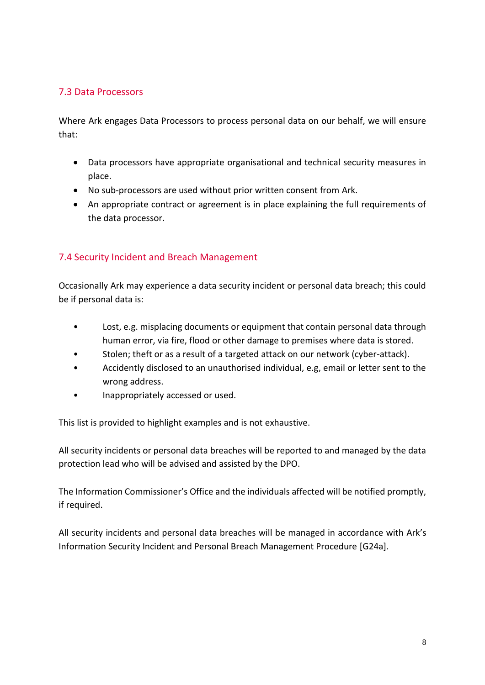## <span id="page-7-0"></span>7.3 Data Processors

Where Ark engages Data Processors to process personal data on our behalf, we will ensure that:

- Data processors have appropriate organisational and technical security measures in place.
- No sub-processors are used without prior written consent from Ark.
- An appropriate contract or agreement is in place explaining the full requirements of the data processor.

## <span id="page-7-1"></span>7.4 Security Incident and Breach Management

Occasionally Ark may experience a data security incident or personal data breach; this could be if personal data is:

- Lost, e.g. misplacing documents or equipment that contain personal data through human error, via fire, flood or other damage to premises where data is stored.
- Stolen; theft or as a result of a targeted attack on our network (cyber-attack).
- Accidently disclosed to an unauthorised individual, e.g, email or letter sent to the wrong address.
- Inappropriately accessed or used.

This list is provided to highlight examples and is not exhaustive.

All security incidents or personal data breaches will be reported to and managed by the data protection lead who will be advised and assisted by the DPO.

The Information Commissioner's Office and the individuals affected will be notified promptly, if required.

All security incidents and personal data breaches will be managed in accordance with Ark's Information Security Incident and Personal Breach Management Procedure [G24a].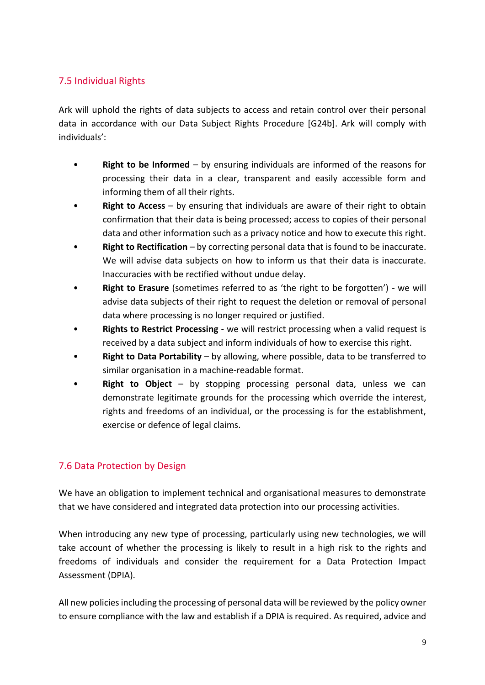## <span id="page-8-0"></span>7.5 Individual Rights

Ark will uphold the rights of data subjects to access and retain control over their personal data in accordance with our Data Subject Rights Procedure [G24b]. Ark will comply with individuals':

- **Right to be Informed** by ensuring individuals are informed of the reasons for processing their data in a clear, transparent and easily accessible form and informing them of all their rights.
- **Right to Access** by ensuring that individuals are aware of their right to obtain confirmation that their data is being processed; access to copies of their personal data and other information such as a privacy notice and how to execute this right.
- **Right to Rectification** by correcting personal data that is found to be inaccurate. We will advise data subjects on how to inform us that their data is inaccurate. Inaccuracies with be rectified without undue delay.
- **Right to Erasure** (sometimes referred to as 'the right to be forgotten') we will advise data subjects of their right to request the deletion or removal of personal data where processing is no longer required or justified.
- **Rights to Restrict Processing** we will restrict processing when a valid request is received by a data subject and inform individuals of how to exercise this right.
- **Right to Data Portability** by allowing, where possible, data to be transferred to similar organisation in a machine-readable format.
- **Right to Object** by stopping processing personal data, unless we can demonstrate legitimate grounds for the processing which override the interest, rights and freedoms of an individual, or the processing is for the establishment, exercise or defence of legal claims.

## <span id="page-8-1"></span>7.6 Data Protection by Design

We have an obligation to implement technical and organisational measures to demonstrate that we have considered and integrated data protection into our processing activities.

When introducing any new type of processing, particularly using new technologies, we will take account of whether the processing is likely to result in a high risk to the rights and freedoms of individuals and consider the requirement for a Data Protection Impact Assessment (DPIA).

All new policies including the processing of personal data will be reviewed by the policy owner to ensure compliance with the law and establish if a DPIA is required. As required, advice and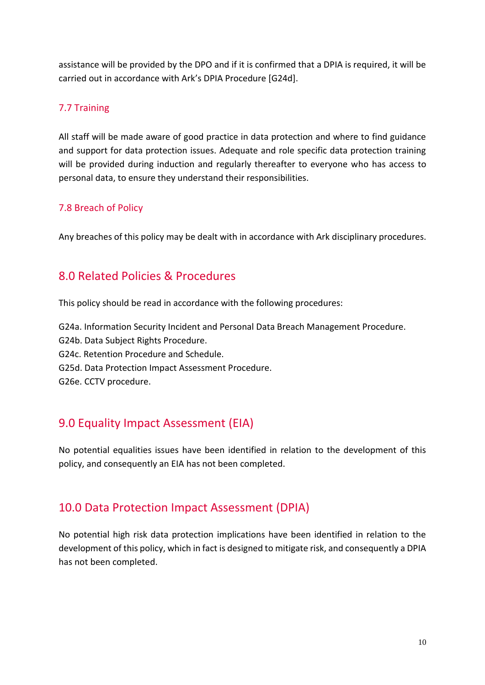assistance will be provided by the DPO and if it is confirmed that a DPIA is required, it will be carried out in accordance with Ark's DPIA Procedure [G24d].

## <span id="page-9-0"></span>7.7 Training

All staff will be made aware of good practice in data protection and where to find guidance and support for data protection issues. Adequate and role specific data protection training will be provided during induction and regularly thereafter to everyone who has access to personal data, to ensure they understand their responsibilities.

## <span id="page-9-1"></span>7.8 Breach of Policy

Any breaches of this policy may be dealt with in accordance with Ark disciplinary procedures.

## <span id="page-9-2"></span>8.0 Related Policies & Procedures

This policy should be read in accordance with the following procedures:

G24a. Information Security Incident and Personal Data Breach Management Procedure. G24b. Data Subject Rights Procedure. G24c. Retention Procedure and Schedule. G25d. Data Protection Impact Assessment Procedure. G26e. CCTV procedure.

# <span id="page-9-3"></span>9.0 Equality Impact Assessment (EIA)

No potential equalities issues have been identified in relation to the development of this policy, and consequently an EIA has not been completed.

# <span id="page-9-4"></span>10.0 Data Protection Impact Assessment (DPIA)

No potential high risk data protection implications have been identified in relation to the development of this policy, which in fact is designed to mitigate risk, and consequently a DPIA has not been completed.